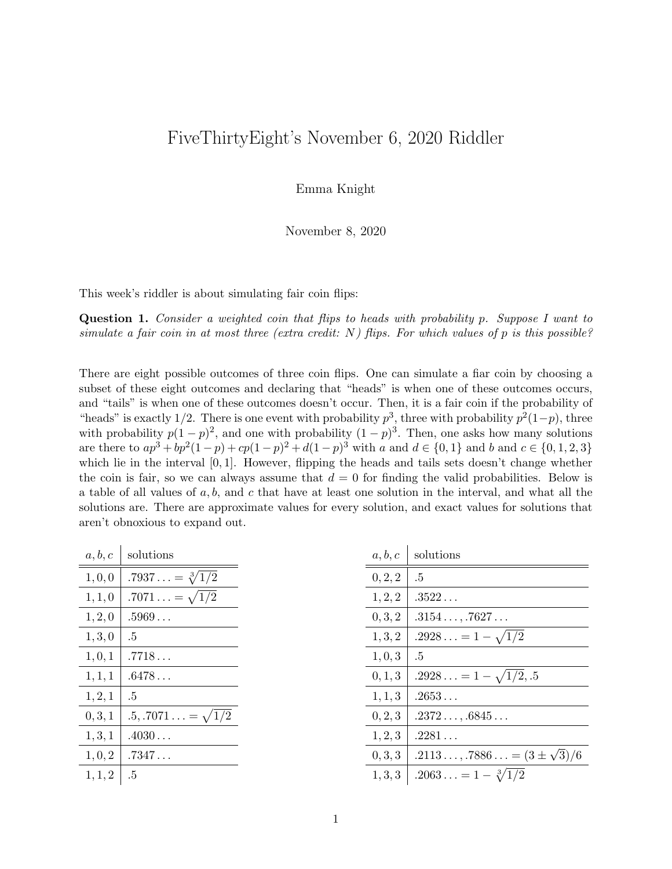## FiveThirtyEight's November 6, 2020 Riddler

Emma Knight

November 8, 2020

This week's riddler is about simulating fair coin flips:

Question 1. Consider a weighted coin that flips to heads with probability p. Suppose I want to simulate a fair coin in at most three (extra credit:  $N$ ) flips. For which values of p is this possible?

There are eight possible outcomes of three coin flips. One can simulate a fiar coin by choosing a subset of these eight outcomes and declaring that "heads" is when one of these outcomes occurs, and "tails" is when one of these outcomes doesn't occur. Then, it is a fair coin if the probability of "heads" is exactly 1/2. There is one event with probability  $p^3$ , three with probability  $p^2(1-p)$ , three with probability  $p(1-p)^2$ , and one with probability  $(1-p)^3$ . Then, one asks how many solutions are there to  $ap^3 + bp^2(1-p) + cp(1-p)^2 + d(1-p)^3$  with a and  $d \in \{0,1\}$  and b and  $c \in \{0,1,2,3\}$ which lie in the interval  $[0, 1]$ . However, flipping the heads and tails sets doesn't change whether the coin is fair, so we can always assume that  $d = 0$  for finding the valid probabilities. Below is a table of all values of  $a, b$ , and c that have at least one solution in the interval, and what all the solutions are. There are approximate values for every solution, and exact values for solutions that aren't obnoxious to expand out.

| a, b, c | solutions                |
|---------|--------------------------|
| 1, 0, 0 | $.7937 = \sqrt[3]{1/2}$  |
| 1, 1, 0 | $.7071 = \sqrt{1/2}$     |
| 1, 2, 0 | .5969                    |
| 1, 3, 0 | .5                       |
| 1, 0, 1 | .7718                    |
| 1, 1, 1 | $.6478\ldots$            |
| 1, 2, 1 | .5                       |
| 0, 3, 1 | $.5, .7071 = \sqrt{1/2}$ |
| 1, 3, 1 | $.4030\ldots$            |
| 1, 0, 2 | .7347                    |
| 1, 1, 2 | .5                       |

 $\mathbf{I}$ 

| 0, 2, 2 | $.5\,$                              |
|---------|-------------------------------------|
| 1, 2, 2 | .3522                               |
| 0, 3, 2 | .3154, .7627                        |
| 1, 3, 2 | $.2928 = 1 - \sqrt{1/2}$            |
| 1, 0, 3 | $.5\,$                              |
| 0, 1, 3 | $.2928 = 1 - \sqrt{1/2}$ , 5        |
| 1, 1, 3 | .2653                               |
| 0, 2, 3 | $.2372\ldots,.6845\ldots$           |
| 1, 2, 3 | .2281                               |
| 0, 3, 3 | $.2113, .7886 = (3 \pm \sqrt{3})/6$ |
| 1, 3, 3 | $.2063 = 1 - \sqrt[3]{1/2}$         |
|         |                                     |